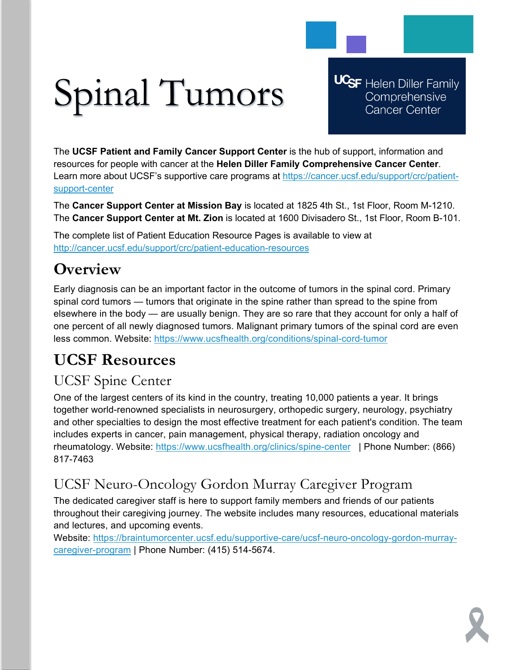# Spinal Tumors

**UCSF** Helen Diller Family Comprehensive **Cancer Center** 

The **UCSF Patient and Family Cancer Support Center** is the hub of support, information and resources for people with cancer at the **Helen Diller Family Comprehensive Cancer Center**. Learn more about UCSF's supportive care programs at [https://cancer.ucsf.edu/support/crc/patient](https://cancer.ucsf.edu/support/crc/patient-support-center)[support-center](https://cancer.ucsf.edu/support/crc/patient-support-center)

The **Cancer Support Center at Mission Bay** is located at 1825 4th St., 1st Floor, Room M-1210. The **Cancer Support Center at Mt. Zion** is located at 1600 Divisadero St., 1st Floor, Room B-101.

The complete list of Patient Education Resource Pages is available to view at <http://cancer.ucsf.edu/support/crc/patient-education-resources>

## **Overview**

Early diagnosis can be an important factor in the outcome of tumors in the spinal cord. Primary spinal cord tumors — tumors that originate in the spine rather than spread to the spine from elsewhere in the body — are usually benign. They are so rare that they account for only a half of one percent of all newly diagnosed tumors. Malignant primary tumors of the spinal cord are even less common. Website:<https://www.ucsfhealth.org/conditions/spinal-cord-tumor>

# **UCSF Resources**

## UCSF Spine Center

One of the largest centers of its kind in the country, treating 10,000 patients a year. It brings together world-renowned specialists in neurosurgery, orthopedic surgery, neurology, psychiatry and other specialties to design the most effective treatment for each patient's condition. The team includes experts in cancer, pain management, physical therapy, radiation oncology and rheumatology. Website:<https://www.ucsfhealth.org/clinics/spine-center> | Phone Number: (866) 817-7463

## UCSF Neuro-Oncology Gordon Murray Caregiver Program

The dedicated caregiver staff is here to support family members and friends of our patients throughout their caregiving journey. The website includes many resources, educational materials and lectures, and upcoming events.

Website: [https://braintumorcenter.ucsf.edu/supportive-care/ucsf-neuro-oncology-gordon-murray](https://braintumorcenter.ucsf.edu/supportive-care/ucsf-neuro-oncology-gordon-murray-caregiver-program)[caregiver-program](https://braintumorcenter.ucsf.edu/supportive-care/ucsf-neuro-oncology-gordon-murray-caregiver-program) | Phone Number: (415) 514-5674.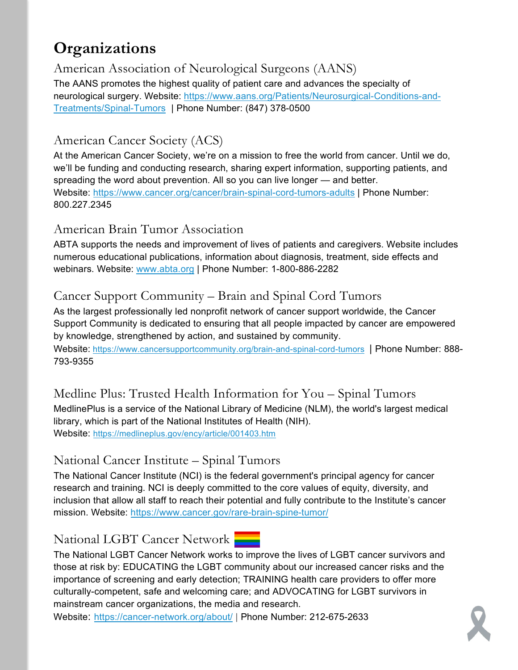## **Organizations**

American Association of Neurological Surgeons (AANS)

The AANS promotes the highest quality of patient care and advances the specialty of neurological surgery. Website: [https://www.aans.org/Patients/Neurosurgical-Conditions-and-](https://www.aans.org/Patients/Neurosurgical-Conditions-and-Treatments/Spinal-Tumors)[Treatments/Spinal-Tumors](https://www.aans.org/Patients/Neurosurgical-Conditions-and-Treatments/Spinal-Tumors) | Phone Number: (847) 378-0500

#### American Cancer Society (ACS)

At the American Cancer Society, we're on a mission to free the world from cancer. Until we do, we'll be funding and conducting research, sharing expert information, supporting patients, and spreading the word about prevention. All so you can live longer — and better. Website:<https://www.cancer.org/cancer/brain-spinal-cord-tumors-adults> | Phone Number: 800.227.2345

#### American Brain Tumor Association

ABTA supports the needs and improvement of lives of patients and caregivers. Website includes numerous educational publications, information about diagnosis, treatment, side effects and webinars. Website: [www.abta.org](http://www.abta.org/) | Phone Number: 1-800-886-2282

#### Cancer Support Community – Brain and Spinal Cord Tumors

As the largest professionally led nonprofit network of cancer support worldwide, the Cancer Support Community is dedicated to ensuring that all people impacted by cancer are empowered by knowledge, strengthened by action, and sustained by community.

Website: <https://www.cancersupportcommunity.org/brain-and-spinal-cord-tumors>| Phone Number: 888- 793-9355

#### Medline Plus: Trusted Health Information for You – Spinal Tumors MedlinePlus is a service of the National Library of Medicine (NLM), the world's largest medical library, which is part of the National Institutes of Health (NIH).

Website:<https://medlineplus.gov/ency/article/001403.htm>

#### National Cancer Institute – Spinal Tumors

The National Cancer Institute (NCI) is the federal government's principal agency for cancer research and training. NCI is deeply committed to the core values of equity, diversity, and inclusion that allow all staff to reach their potential and fully contribute to the Institute's cancer mission. Website:<https://www.cancer.gov/rare-brain-spine-tumor/>

#### National LGBT Cancer Network

The National LGBT Cancer Network works to improve the lives of LGBT cancer survivors and those at risk by: EDUCATING the LGBT community about our increased cancer risks and the importance of screening and early detection; TRAINING health care providers to offer more culturally-competent, safe and welcoming care; and ADVOCATING for LGBT survivors in mainstream cancer organizations, the media and research.

Website: <https://cancer-network.org/about/> | Phone Number: 212-675-2633